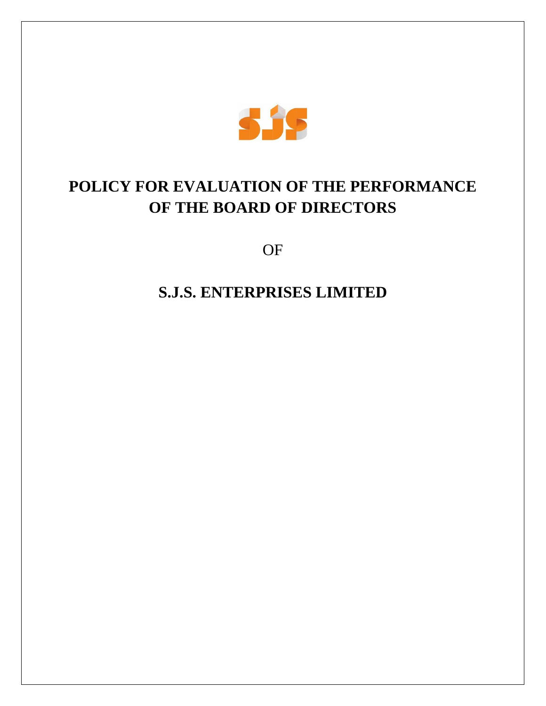

# **POLICY FOR EVALUATION OF THE PERFORMANCE OF THE BOARD OF DIRECTORS**

OF

**S.J.S. ENTERPRISES LIMITED**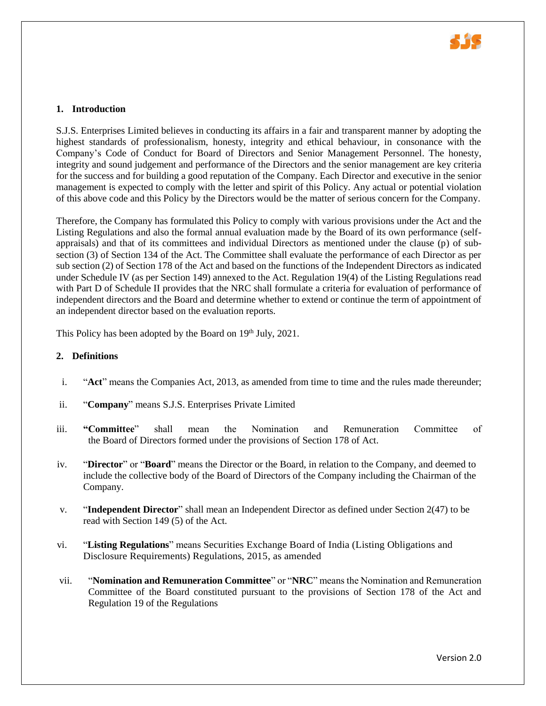

#### **1. Introduction**

S.J.S. Enterprises Limited believes in conducting its affairs in a fair and transparent manner by adopting the highest standards of professionalism, honesty, integrity and ethical behaviour, in consonance with the Company's Code of Conduct for Board of Directors and Senior Management Personnel. The honesty, integrity and sound judgement and performance of the Directors and the senior management are key criteria for the success and for building a good reputation of the Company. Each Director and executive in the senior management is expected to comply with the letter and spirit of this Policy. Any actual or potential violation of this above code and this Policy by the Directors would be the matter of serious concern for the Company.

Therefore, the Company has formulated this Policy to comply with various provisions under the Act and the Listing Regulations and also the formal annual evaluation made by the Board of its own performance (selfappraisals) and that of its committees and individual Directors as mentioned under the clause (p) of subsection (3) of Section 134 of the Act. The Committee shall evaluate the performance of each Director as per sub section (2) of Section 178 of the Act and based on the functions of the Independent Directors as indicated under Schedule IV (as per Section 149) annexed to the Act. Regulation 19(4) of the Listing Regulations read with Part D of Schedule II provides that the NRC shall formulate a criteria for evaluation of performance of independent directors and the Board and determine whether to extend or continue the term of appointment of an independent director based on the evaluation reports.

This Policy has been adopted by the Board on  $19<sup>th</sup>$  July, 2021.

#### **2. Definitions**

- i. "**Act**" means the Companies Act, 2013, as amended from time to time and the rules made thereunder;
- ii. "**Company**" means S.J.S. Enterprises Private Limited
- iii. **"Committee**" shall mean the Nomination and Remuneration Committee of the Board of Directors formed under the provisions of Section 178 of Act.
- iv. "**Director**" or "**Board**" means the Director or the Board, in relation to the Company, and deemed to include the collective body of the Board of Directors of the Company including the Chairman of the Company.
- v. "**Independent Director**" shall mean an Independent Director as defined under Section 2(47) to be read with Section 149 (5) of the Act.
- vi. "**Listing Regulations**" means Securities Exchange Board of India (Listing Obligations and Disclosure Requirements) Regulations, 2015, as amended
- vii. "**Nomination and Remuneration Committee**" or "**NRC**" means the Nomination and Remuneration Committee of the Board constituted pursuant to the provisions of Section 178 of the Act and Regulation 19 of the Regulations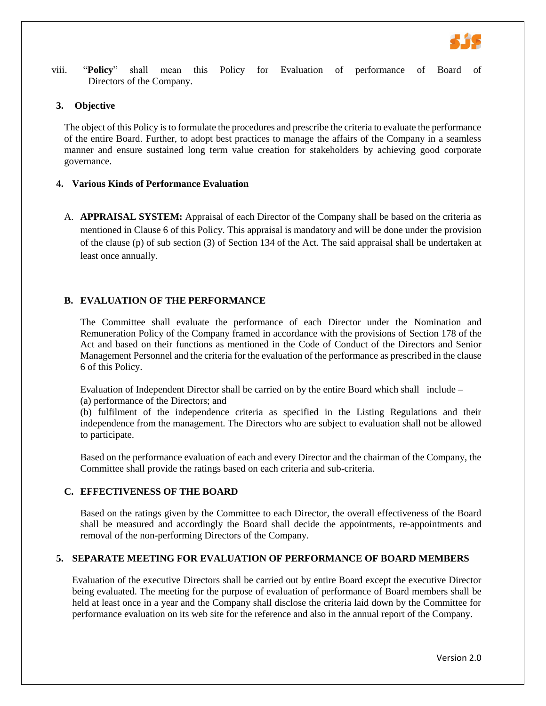

viii. "**Policy**" shall mean this Policy for Evaluation of performance of Board of Directors of the Company.

# **3. Objective**

The object of this Policy is to formulate the procedures and prescribe the criteria to evaluate the performance of the entire Board. Further, to adopt best practices to manage the affairs of the Company in a seamless manner and ensure sustained long term value creation for stakeholders by achieving good corporate governance.

# **4. Various Kinds of Performance Evaluation**

A. **APPRAISAL SYSTEM:** Appraisal of each Director of the Company shall be based on the criteria as mentioned in Clause 6 of this Policy. This appraisal is mandatory and will be done under the provision of the clause (p) of sub section (3) of Section 134 of the Act. The said appraisal shall be undertaken at least once annually.

# **B. EVALUATION OF THE PERFORMANCE**

The Committee shall evaluate the performance of each Director under the Nomination and Remuneration Policy of the Company framed in accordance with the provisions of Section 178 of the Act and based on their functions as mentioned in the Code of Conduct of the Directors and Senior Management Personnel and the criteria for the evaluation of the performance as prescribed in the clause 6 of this Policy.

Evaluation of Independent Director shall be carried on by the entire Board which shall include –

(a) performance of the Directors; and

(b) fulfilment of the independence criteria as specified in the Listing Regulations and their independence from the management. The Directors who are subject to evaluation shall not be allowed to participate.

Based on the performance evaluation of each and every Director and the chairman of the Company, the Committee shall provide the ratings based on each criteria and sub-criteria.

# **C. EFFECTIVENESS OF THE BOARD**

Based on the ratings given by the Committee to each Director, the overall effectiveness of the Board shall be measured and accordingly the Board shall decide the appointments, re-appointments and removal of the non-performing Directors of the Company.

# **5. SEPARATE MEETING FOR EVALUATION OF PERFORMANCE OF BOARD MEMBERS**

Evaluation of the executive Directors shall be carried out by entire Board except the executive Director being evaluated. The meeting for the purpose of evaluation of performance of Board members shall be held at least once in a year and the Company shall disclose the criteria laid down by the Committee for performance evaluation on its web site for the reference and also in the annual report of the Company.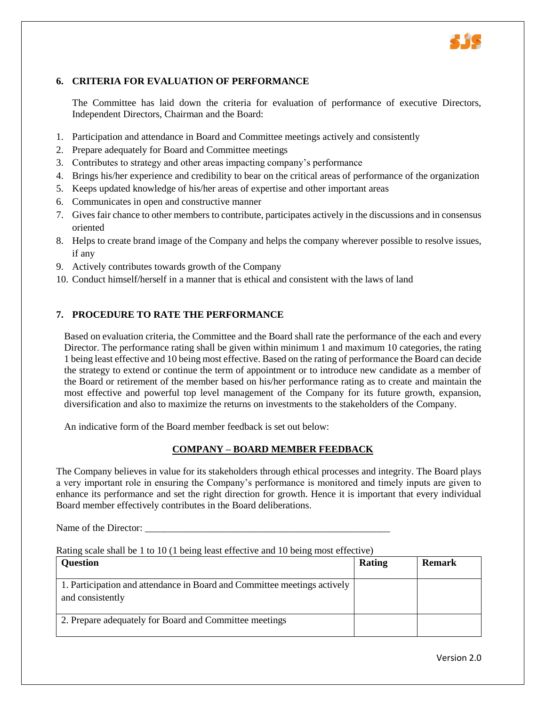

# **6. CRITERIA FOR EVALUATION OF PERFORMANCE**

The Committee has laid down the criteria for evaluation of performance of executive Directors, Independent Directors, Chairman and the Board:

- 1. Participation and attendance in Board and Committee meetings actively and consistently
- 2. Prepare adequately for Board and Committee meetings
- 3. Contributes to strategy and other areas impacting company's performance
- 4. Brings his/her experience and credibility to bear on the critical areas of performance of the organization
- 5. Keeps updated knowledge of his/her areas of expertise and other important areas
- 6. Communicates in open and constructive manner
- 7. Gives fair chance to other members to contribute, participates actively in the discussions and in consensus oriented
- 8. Helps to create brand image of the Company and helps the company wherever possible to resolve issues, if any
- 9. Actively contributes towards growth of the Company
- 10. Conduct himself/herself in a manner that is ethical and consistent with the laws of land

#### **7. PROCEDURE TO RATE THE PERFORMANCE**

Based on evaluation criteria, the Committee and the Board shall rate the performance of the each and every Director. The performance rating shall be given within minimum 1 and maximum 10 categories, the rating 1 being least effective and 10 being most effective. Based on the rating of performance the Board can decide the strategy to extend or continue the term of appointment or to introduce new candidate as a member of the Board or retirement of the member based on his/her performance rating as to create and maintain the most effective and powerful top level management of the Company for its future growth, expansion, diversification and also to maximize the returns on investments to the stakeholders of the Company.

An indicative form of the Board member feedback is set out below:

# **COMPANY – BOARD MEMBER FEEDBACK**

The Company believes in value for its stakeholders through ethical processes and integrity. The Board plays a very important role in ensuring the Company's performance is monitored and timely inputs are given to enhance its performance and set the right direction for growth. Hence it is important that every individual Board member effectively contributes in the Board deliberations.

Name of the Director:

#### Rating scale shall be 1 to 10 (1 being least effective and 10 being most effective)

| <b>Question</b>                                                                              | Rating | <b>Remark</b> |
|----------------------------------------------------------------------------------------------|--------|---------------|
| 1. Participation and attendance in Board and Committee meetings actively<br>and consistently |        |               |
| 2. Prepare adequately for Board and Committee meetings                                       |        |               |